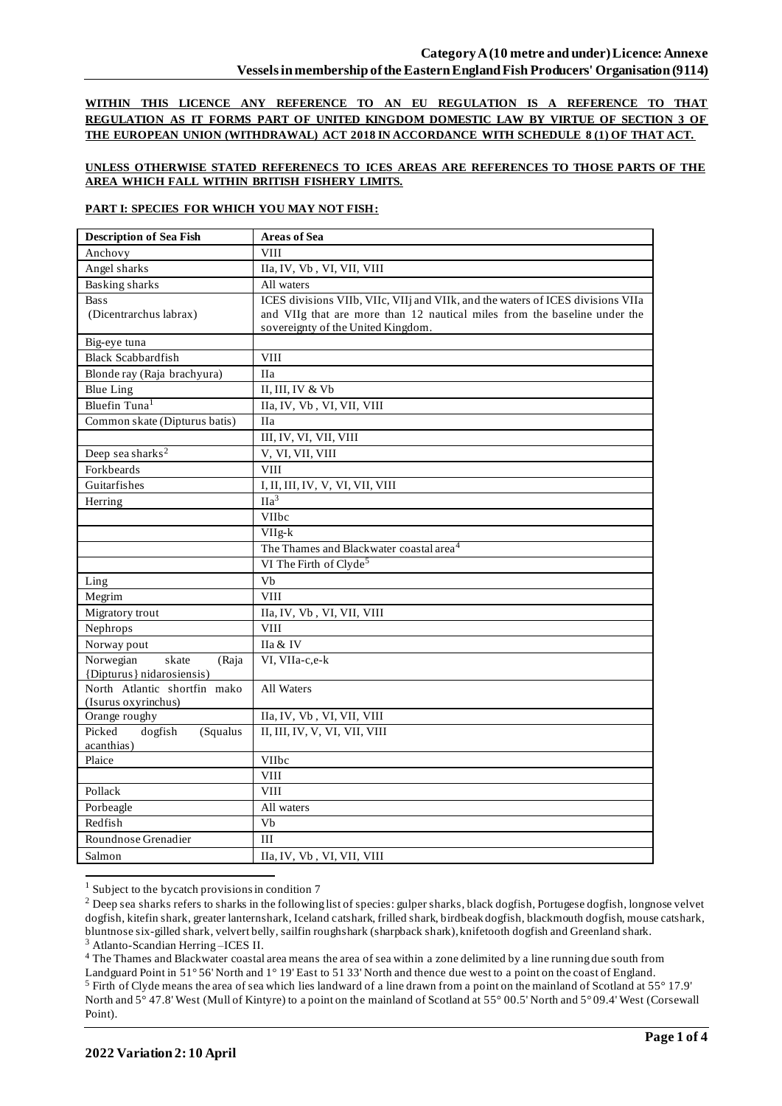**WITHIN THIS LICENCE ANY REFERENCE TO AN EU REGULATION IS A REFERENCE TO THAT REGULATION AS IT FORMS PART OF UNITED KINGDOM DOMESTIC LAW BY VIRTUE OF SECTION 3 OF THE EUROPEAN UNION (WITHDRAWAL) ACT 2018 IN ACCORDANCE WITH SCHEDULE 8 (1) OF THAT ACT.**

### **UNLESS OTHERWISE STATED REFERENECS TO ICES AREAS ARE REFERENCES TO THOSE PARTS OF THE AREA WHICH FALL WITHIN BRITISH FISHERY LIMITS.**

### **PART I: SPECIES FOR WHICH YOU MAY NOT FISH:**

| <b>Description of Sea Fish</b>                      | <b>Areas of Sea</b>                                                             |  |  |  |
|-----------------------------------------------------|---------------------------------------------------------------------------------|--|--|--|
| Anchovy                                             | <b>VIII</b>                                                                     |  |  |  |
| Angel sharks                                        | IIa, IV, Vb, VI, VII, VIII                                                      |  |  |  |
| <b>Basking sharks</b>                               | All waters                                                                      |  |  |  |
| <b>Bass</b>                                         | ICES divisions VIIb, VIIc, VIIj and VIIk, and the waters of ICES divisions VIIa |  |  |  |
| (Dicentrarchus labrax)                              | and VIIg that are more than 12 nautical miles from the baseline under the       |  |  |  |
|                                                     | sovereignty of the United Kingdom.                                              |  |  |  |
| Big-eye tuna                                        |                                                                                 |  |  |  |
| <b>Black Scabbardfish</b>                           | <b>VIII</b>                                                                     |  |  |  |
| Blonde ray (Raja brachyura)                         | <b>IIa</b>                                                                      |  |  |  |
| <b>Blue Ling</b>                                    | II, III, IV & Vb                                                                |  |  |  |
| Bluefin Tuna <sup>1</sup>                           | IIa, IV, Vb, VI, VII, VIII                                                      |  |  |  |
| Common skate (Dipturus batis)                       | <b>IIa</b>                                                                      |  |  |  |
|                                                     | III, IV, VI, VII, VIII                                                          |  |  |  |
| Deep sea sharks <sup>2</sup>                        | V, VI, VII, VIII                                                                |  |  |  |
| Forkbeards                                          | <b>VIII</b>                                                                     |  |  |  |
| Guitarfishes                                        | I, II, III, IV, V, VI, VII, VIII                                                |  |  |  |
| Herring                                             | IIa <sup>3</sup>                                                                |  |  |  |
|                                                     | <b>VIIbc</b>                                                                    |  |  |  |
|                                                     | VIIg-k                                                                          |  |  |  |
|                                                     | The Thames and Blackwater coastal area <sup>4</sup>                             |  |  |  |
|                                                     | VI The Firth of Clyde <sup>5</sup>                                              |  |  |  |
| Ling                                                | Vb                                                                              |  |  |  |
| Megrim                                              | <b>VIII</b>                                                                     |  |  |  |
| Migratory trout                                     | IIa, IV, Vb, VI, VII, VIII                                                      |  |  |  |
| Nephrops                                            | <b>VIII</b>                                                                     |  |  |  |
| Norway pout                                         | IIa & IV                                                                        |  |  |  |
| Norwegian<br>skate<br>(Raja                         | VI, VIIa-c,e-k                                                                  |  |  |  |
| {Dipturus} nidarosiensis)                           |                                                                                 |  |  |  |
| North Atlantic shortfin mako<br>(Isurus oxyrinchus) | All Waters                                                                      |  |  |  |
| Orange roughy                                       | IIa, IV, Vb, VI, VII, VIII                                                      |  |  |  |
| dogfish<br>Picked<br>(Squalus)                      | II, III, IV, V, VI, VII, VIII                                                   |  |  |  |
| acanthias)                                          |                                                                                 |  |  |  |
| Plaice                                              | VIIbc                                                                           |  |  |  |
|                                                     | <b>VIII</b>                                                                     |  |  |  |
| Pollack                                             | <b>VIII</b>                                                                     |  |  |  |
| Porbeagle                                           | All waters                                                                      |  |  |  |
| Redfish                                             | Vb                                                                              |  |  |  |
| Roundnose Grenadier                                 | III                                                                             |  |  |  |
| Salmon                                              | IIa, IV, Vb, VI, VII, VIII                                                      |  |  |  |

<sup>&</sup>lt;sup>1</sup> Subject to the bycatch provisions in condition 7

<sup>4</sup> The Thames and Blackwater coastal area means the area of sea within a zone delimited by a line running due south from

<sup>&</sup>lt;sup>2</sup> Deep sea sharks refers to sharks in the following list of species: gulper sharks, black dogfish, Portugese dogfish, longnose velvet dogfish, kitefin shark, greater lanternshark, Iceland catshark, frilled shark, birdbeak dogfish, blackmouth dogfish, mouse catshark, bluntnose six-gilled shark, velvert belly, sailfin roughshark (sharpback shark), knifetooth dogfish and Greenland shark. <sup>3</sup> Atlanto-Scandian Herring –ICES II.

Landguard Point in 51° 56' North and 1° 19' East to 51 33' North and thence due west to a point on the coast of England. <sup>5</sup> Firth of Clyde means the area of sea which lies landward of a line drawn from a point on the mainland of Scotland at 55° 17.9' North and 5° 47.8' West (Mull of Kintyre) to a point on the mainland of Scotland at 55° 00.5' North and 5° 09.4' West (Corsewall Point).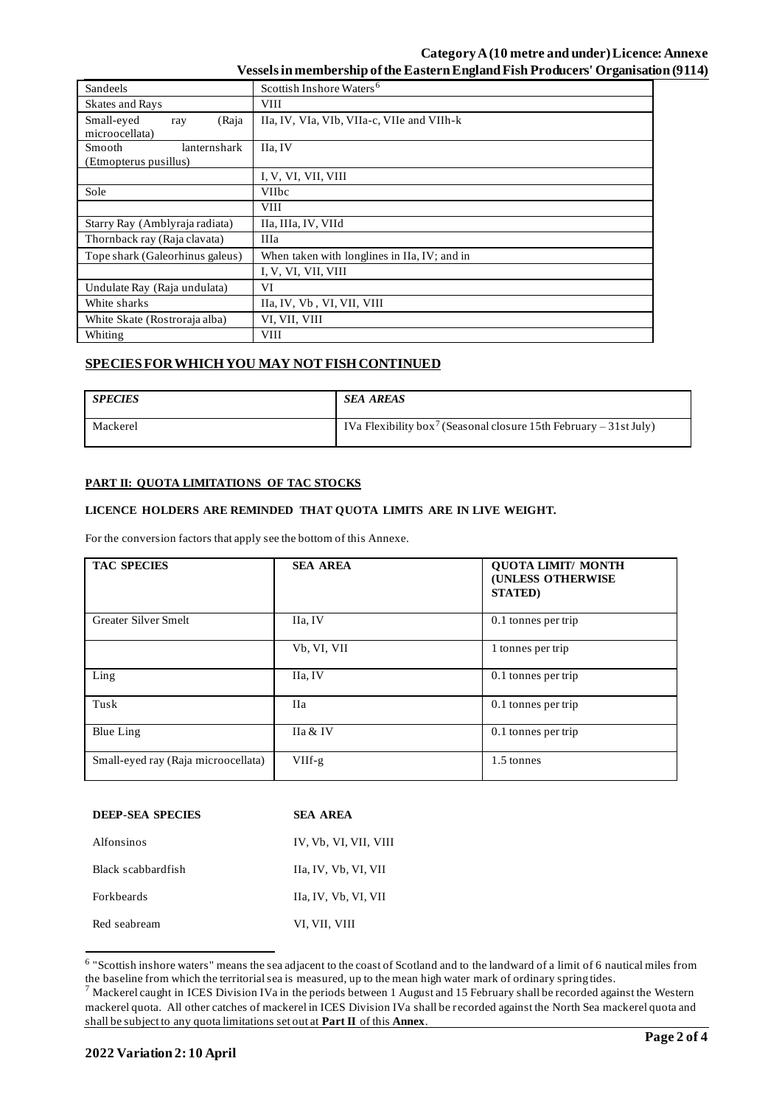## **Category A (10 metre and under) Licence: Annexe Vessels in membership of the Eastern England Fish Producers' Organisation (9114)**

| Sandeels                                               | Scottish Inshore Waters <sup>6</sup>         |  |  |  |  |  |
|--------------------------------------------------------|----------------------------------------------|--|--|--|--|--|
| Skates and Rays                                        | VIII                                         |  |  |  |  |  |
| Small-eyed<br>(Raja<br>ray<br>microocellata)           | IIa, IV, VIa, VIb, VIIa-c, VIIe and VIIh-k   |  |  |  |  |  |
| <b>Smooth</b><br>lanternshark<br>(Etmopterus pusillus) | IIa. IV                                      |  |  |  |  |  |
|                                                        | I, V, VI, VII, VIII                          |  |  |  |  |  |
| Sole                                                   | <b>VIIbc</b>                                 |  |  |  |  |  |
|                                                        | <b>VIII</b>                                  |  |  |  |  |  |
| Starry Ray (Amblyraja radiata)                         | IIa, IIIa, IV, VIId                          |  |  |  |  |  |
| Thornback ray (Raja clavata)                           | IIIa                                         |  |  |  |  |  |
| Tope shark (Galeorhinus galeus)                        | When taken with longlines in IIa, IV; and in |  |  |  |  |  |
|                                                        | I, V, VI, VII, VIII                          |  |  |  |  |  |
| Undulate Ray (Raja undulata)                           | VI                                           |  |  |  |  |  |
| White sharks                                           | IIa, IV, Vb, VI, VII, VIII                   |  |  |  |  |  |
| White Skate (Rostroraja alba)                          | VI, VII, VIII                                |  |  |  |  |  |
| Whiting                                                | <b>VIII</b>                                  |  |  |  |  |  |

# **SPECIES FOR WHICH YOU MAY NOT FISH CONTINUED**

| <b>SPECIES</b> | <b>SEA AREAS</b>                                                              |
|----------------|-------------------------------------------------------------------------------|
| Mackerel       | IVa Flexibility box <sup>7</sup> (Seasonal closure 15th February – 31st July) |

## **PART II: QUOTA LIMITATIONS OF TAC STOCKS**

#### **LICENCE HOLDERS ARE REMINDED THAT QUOTA LIMITS ARE IN LIVE WEIGHT.**

For the conversion factors that apply see the bottom of this Annexe.

| <b>TAC SPECIES</b>                  | <b>SEA AREA</b> | <b>QUOTA LIMIT/ MONTH</b><br>(UNLESS OTHERWISE<br><b>STATED</b> ) |
|-------------------------------------|-----------------|-------------------------------------------------------------------|
| Greater Silver Smelt                | IIa, IV         | 0.1 tonnes per trip                                               |
|                                     | Vb, VI, VII     | 1 tonnes per trip                                                 |
| Ling                                | IIa, IV         | 0.1 tonnes per trip                                               |
| Tusk                                | <b>IIa</b>      | 0.1 tonnes per trip                                               |
| Blue Ling                           | IIa & IV        | 0.1 tonnes per trip                                               |
| Small-eyed ray (Raja microocellata) | $VIIf-g$        | 1.5 tonnes                                                        |

| <b>DEEP-SEA SPECIES</b> | SEA AREA              |  |  |
|-------------------------|-----------------------|--|--|
| Alfonsinos              | IV, Vb, VI, VII, VIII |  |  |
| Black scabbardfish      | IIa, IV, Vb, VI, VII  |  |  |
| <b>Forkheards</b>       | IIa, IV, Vb, VI, VII  |  |  |
| Red seabream            | VI, VII, VIII         |  |  |

<sup>&</sup>lt;sup>6</sup> "Scottish inshore waters" means the sea adjacent to the coast of Scotland and to the landward of a limit of 6 nautical miles from the baseline from which the territorial sea is measured, up to the mean high water mark of ordinary spring tides.

 $^7$  Mackerel caught in ICES Division IVa in the periods between 1 August and 15 February shall be recorded against the Western mackerel quota. All other catches of mackerel in ICES Division IVa shall be recorded against the North Sea mackerel quota and shall be subject to any quota limitations set out at **Part II** of this **Annex**.